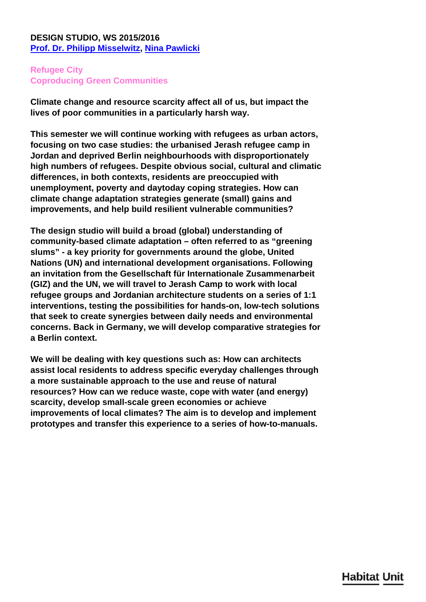## **DESIGN STUDIO, WS 2015/2016 [Prof. Dr. Philipp Misselwitz,](/en/team/philipp-misselwitz/) [Nina Pawlicki](/en/team/nina-pawlicki/)**

# **Refugee City Coproducing Green Communities**

**Climate change and resource scarcity affect all of us, but impact the lives of poor communities in a particularly harsh way.**

**This semester we will continue working with refugees as urban actors, focusing on two case studies: the urbanised Jerash refugee camp in Jordan and deprived Berlin neighbourhoods with disproportionately high numbers of refugees. Despite obvious social, cultural and climatic differences, in both contexts, residents are preoccupied with unemployment, poverty and daytoday coping strategies. How can climate change adaptation strategies generate (small) gains and improvements, and help build resilient vulnerable communities?**

**The design studio will build a broad (global) understanding of community-based climate adaptation – often referred to as "greening slums" - a key priority for governments around the globe, United Nations (UN) and international development organisations. Following an invitation from the Gesellschaft für Internationale Zusammenarbeit (GIZ) and the UN, we will travel to Jerash Camp to work with local refugee groups and Jordanian architecture students on a series of 1:1 interventions, testing the possibilities for hands-on, low-tech solutions that seek to create synergies between daily needs and environmental concerns. Back in Germany, we will develop comparative strategies for a Berlin context.**

**We will be dealing with key questions such as: How can architects assist local residents to address specific everyday challenges through a more sustainable approach to the use and reuse of natural resources? How can we reduce waste, cope with water (and energy) scarcity, develop small-scale green economies or achieve improvements of local climates? The aim is to develop and implement prototypes and transfer this experience to a series of how-to-manuals.**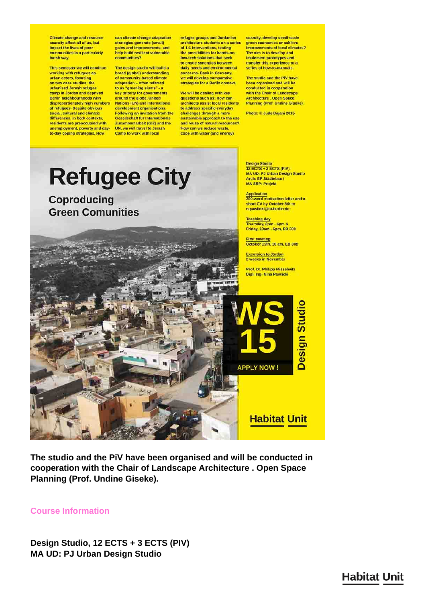**Climate change and resource**<br>scarcity affect all of us, but impact the lives of poor communities in a particularly harsh way.

This semester we will continue working with refugees as urban actors, focusing on two case studies: the urbanised Jerash refugee camp in Jordan and deprived Berlin neighbourhoods with disproportionately high numbers of refugees. Despite obvious social, cultural and climatic differences, in both contexts residents are preoccupied with unemployment, poverty and dayto-day coping strategies. How

can climate change adaptation strategies generate (small) gains and improvements, and help build resilient vulnerable communities?

The design studio will build a broad (global) understanding of community-based climate<br>adaptation - often referred to as "greening slums" - a key priority for governments around the globe, United Nations (UN) and international development organisations. Following an invitation from the **Gesellschaft für Internationale** Zusammenarbeit (GIZ) and the UN, we will travel to Jerash **Camp to work with local** 

refugee groups and Jordanian architecture students on a series of 1:1 interventions, testing<br>the possibilities for hands-on, low-tech solutions that seek to create synergies between daily needs and environmental concerns. Back in Germany, we will develop comparative strategies for a Berlin context.

We will be dealing with key questions such as: How can architects assist local residents to address specific everyday challenges through a more sustainable approach to the use and reuse of natural resources? How can we reduce waste, cope with water (and energy)

scarcity, develop small-scale green economies or achieve improvements of local climates? The aim is to develop and implement prototypes and transfer this experience to a series of how-to-manuals.

The studio and the PiV have been organised and will be conducted in cooperation with the Chair of Landscape Architecture . Open Space<br>Planning (Prof. Undine Giseke).

Photo: @ Jude Dajani 2015

**Refugee City Coproducing Green Comunities** 

**Design Studio** 12 ECTS + 3 ECTS (PIV)<br>MA UD: PJ Urban Design Studio Arch: EP Städtebau I **MA SRP: Projekt** 

Application 0-word motivation letter and a short CV by October 8th to n.pawlicki@tu-berlin.de

**Teaching day** Thursday, 2pm - 6pm & Friday, 10am - 6pm, EB 308

First meeting<br>October 15th, 10 am, EB 308

**Excursion to Jordan** 2 weeks in November

**APPLY NOW!** 

**Habitat Unit** 

Prof. Dr. Philipp Misselwitz Dipl. Ing-Nina Pawlicki

**Design Studio** 

The studio and the PiV have been organised and will be conducted in cooperation with the Chair of Landscape Architecture. Open Space **Planning (Prof. Undine Giseke).** 

#### **Course Information**

Design Studio, 12 ECTS + 3 ECTS (PIV) **MA UD: PJ Urban Design Studio**